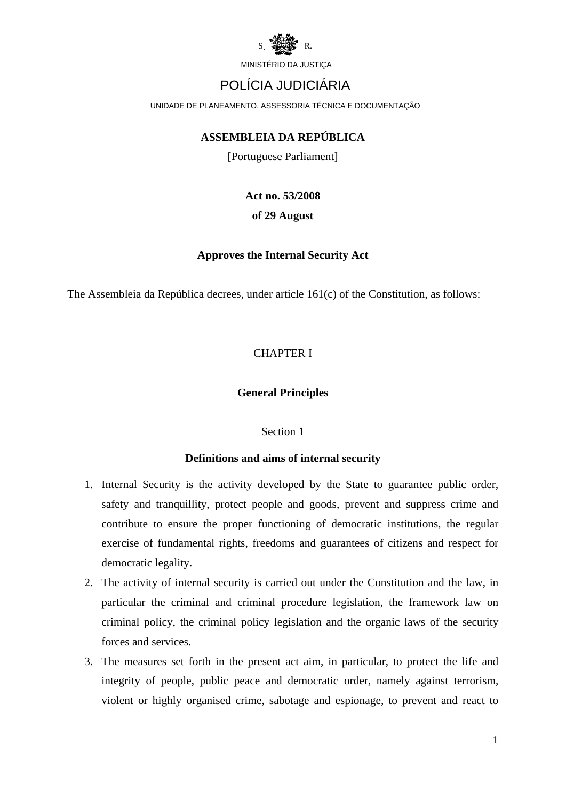

# POLÍCIA JUDICIÁRIA

UNIDADE DE PLANEAMENTO, ASSESSORIA TÉCNICA E DOCUMENTAÇÃO

## **ASSEMBLEIA DA REPÚBLICA**

[Portuguese Parliament]

**Act no. 53/2008** 

## **of 29 August**

## **Approves the Internal Security Act**

The Assembleia da República decrees, under article 161(c) of the Constitution, as follows:

## CHAPTER I

## **General Principles**

## Section 1

## **Definitions and aims of internal security**

- 1. Internal Security is the activity developed by the State to guarantee public order, safety and tranquillity, protect people and goods, prevent and suppress crime and contribute to ensure the proper functioning of democratic institutions, the regular exercise of fundamental rights, freedoms and guarantees of citizens and respect for democratic legality.
- 2. The activity of internal security is carried out under the Constitution and the law, in particular the criminal and criminal procedure legislation, the framework law on criminal policy, the criminal policy legislation and the organic laws of the security forces and services.
- 3. The measures set forth in the present act aim, in particular, to protect the life and integrity of people, public peace and democratic order, namely against terrorism, violent or highly organised crime, sabotage and espionage, to prevent and react to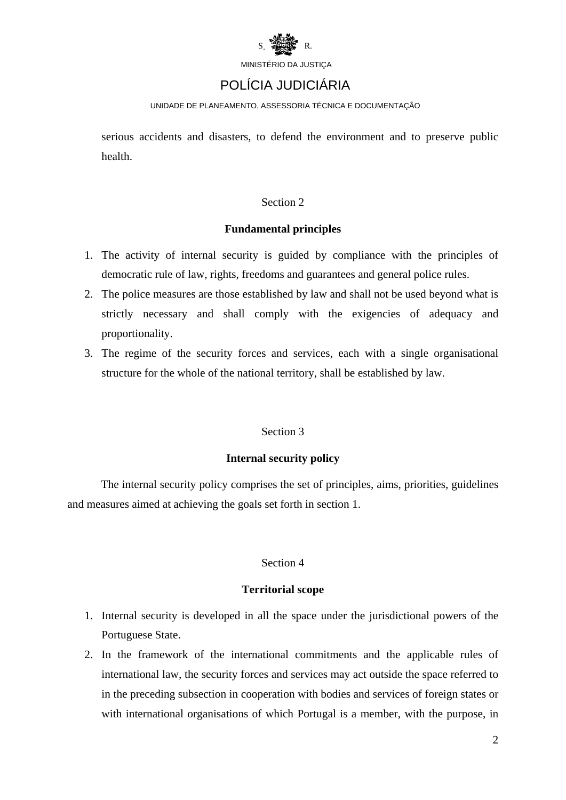

# POLÍCIA JUDICIÁRIA

### UNIDADE DE PLANEAMENTO, ASSESSORIA TÉCNICA E DOCUMENTAÇÃO

serious accidents and disasters, to defend the environment and to preserve public health.

## Section 2

## **Fundamental principles**

- 1. The activity of internal security is guided by compliance with the principles of democratic rule of law, rights, freedoms and guarantees and general police rules.
- 2. The police measures are those established by law and shall not be used beyond what is strictly necessary and shall comply with the exigencies of adequacy and proportionality.
- 3. The regime of the security forces and services, each with a single organisational structure for the whole of the national territory, shall be established by law.

## Section 3

## **Internal security policy**

The internal security policy comprises the set of principles, aims, priorities, guidelines and measures aimed at achieving the goals set forth in section 1.

## Section 4

## **Territorial scope**

- 1. Internal security is developed in all the space under the jurisdictional powers of the Portuguese State.
- 2. In the framework of the international commitments and the applicable rules of international law, the security forces and services may act outside the space referred to in the preceding subsection in cooperation with bodies and services of foreign states or with international organisations of which Portugal is a member, with the purpose, in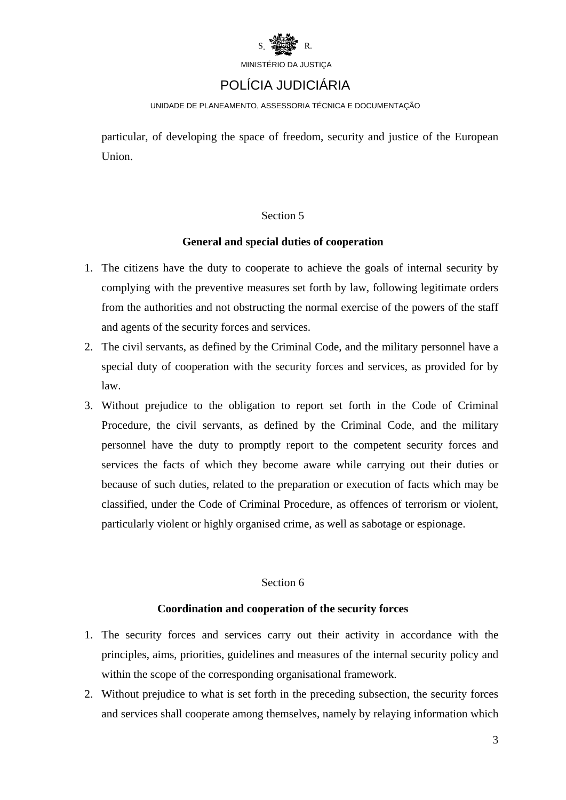

# POLÍCIA JUDICIÁRIA

#### UNIDADE DE PLANEAMENTO, ASSESSORIA TÉCNICA E DOCUMENTAÇÃO

particular, of developing the space of freedom, security and justice of the European Union.

## Section 5

## **General and special duties of cooperation**

- 1. The citizens have the duty to cooperate to achieve the goals of internal security by complying with the preventive measures set forth by law, following legitimate orders from the authorities and not obstructing the normal exercise of the powers of the staff and agents of the security forces and services.
- 2. The civil servants, as defined by the Criminal Code, and the military personnel have a special duty of cooperation with the security forces and services, as provided for by law.
- 3. Without prejudice to the obligation to report set forth in the Code of Criminal Procedure, the civil servants, as defined by the Criminal Code, and the military personnel have the duty to promptly report to the competent security forces and services the facts of which they become aware while carrying out their duties or because of such duties, related to the preparation or execution of facts which may be classified, under the Code of Criminal Procedure, as offences of terrorism or violent, particularly violent or highly organised crime, as well as sabotage or espionage.

## Section 6

## **Coordination and cooperation of the security forces**

- 1. The security forces and services carry out their activity in accordance with the principles, aims, priorities, guidelines and measures of the internal security policy and within the scope of the corresponding organisational framework.
- 2. Without prejudice to what is set forth in the preceding subsection, the security forces and services shall cooperate among themselves, namely by relaying information which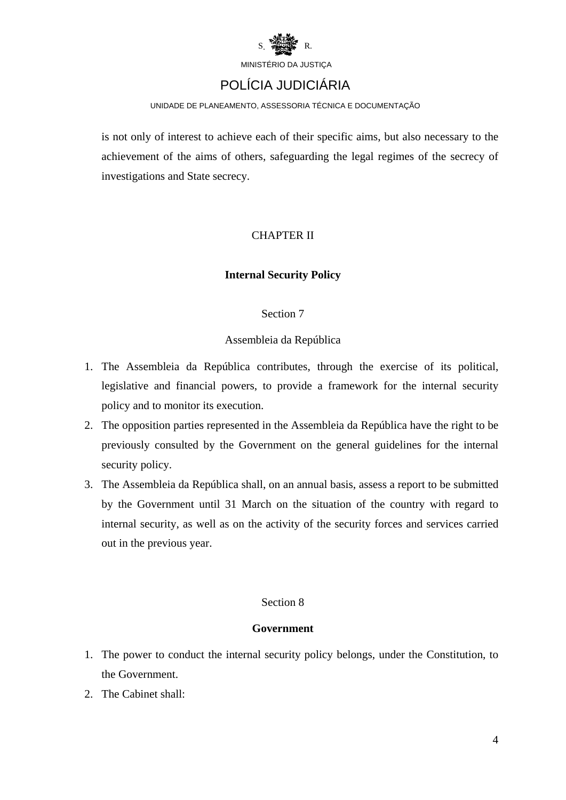

# POLÍCIA JUDICIÁRIA

#### UNIDADE DE PLANEAMENTO, ASSESSORIA TÉCNICA E DOCUMENTAÇÃO

is not only of interest to achieve each of their specific aims, but also necessary to the achievement of the aims of others, safeguarding the legal regimes of the secrecy of investigations and State secrecy.

## CHAPTER II

## **Internal Security Policy**

### Section 7

### Assembleia da República

- 1. The Assembleia da República contributes, through the exercise of its political, legislative and financial powers, to provide a framework for the internal security policy and to monitor its execution.
- 2. The opposition parties represented in the Assembleia da República have the right to be previously consulted by the Government on the general guidelines for the internal security policy.
- 3. The Assembleia da República shall, on an annual basis, assess a report to be submitted by the Government until 31 March on the situation of the country with regard to internal security, as well as on the activity of the security forces and services carried out in the previous year.

## Section 8

#### **Government**

- 1. The power to conduct the internal security policy belongs, under the Constitution, to the Government.
- 2. The Cabinet shall: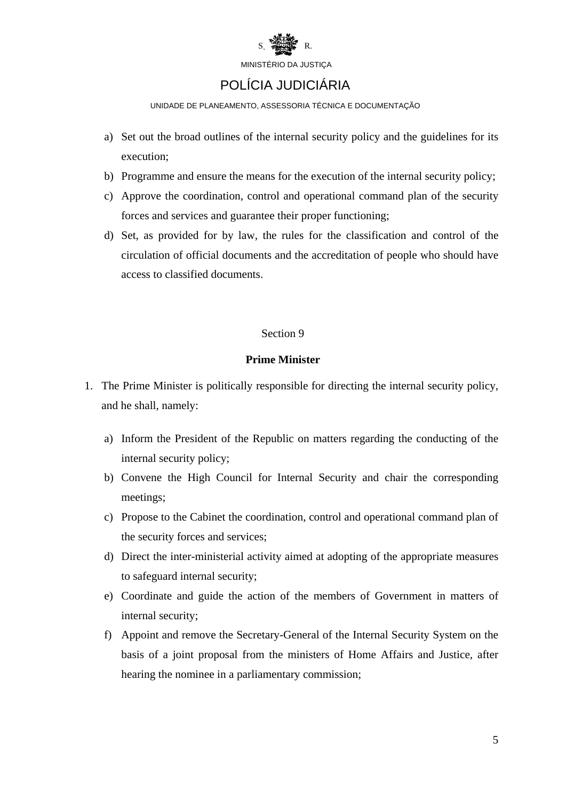

# POLÍCIA JUDICIÁRIA

UNIDADE DE PLANEAMENTO, ASSESSORIA TÉCNICA E DOCUMENTAÇÃO

- a) Set out the broad outlines of the internal security policy and the guidelines for its execution;
- b) Programme and ensure the means for the execution of the internal security policy;
- c) Approve the coordination, control and operational command plan of the security forces and services and guarantee their proper functioning;
- d) Set, as provided for by law, the rules for the classification and control of the circulation of official documents and the accreditation of people who should have access to classified documents.

## Section 9

## **Prime Minister**

- 1. The Prime Minister is politically responsible for directing the internal security policy, and he shall, namely:
	- a) Inform the President of the Republic on matters regarding the conducting of the internal security policy;
	- b) Convene the High Council for Internal Security and chair the corresponding meetings;
	- c) Propose to the Cabinet the coordination, control and operational command plan of the security forces and services;
	- d) Direct the inter-ministerial activity aimed at adopting of the appropriate measures to safeguard internal security;
	- e) Coordinate and guide the action of the members of Government in matters of internal security;
	- f) Appoint and remove the Secretary-General of the Internal Security System on the basis of a joint proposal from the ministers of Home Affairs and Justice, after hearing the nominee in a parliamentary commission;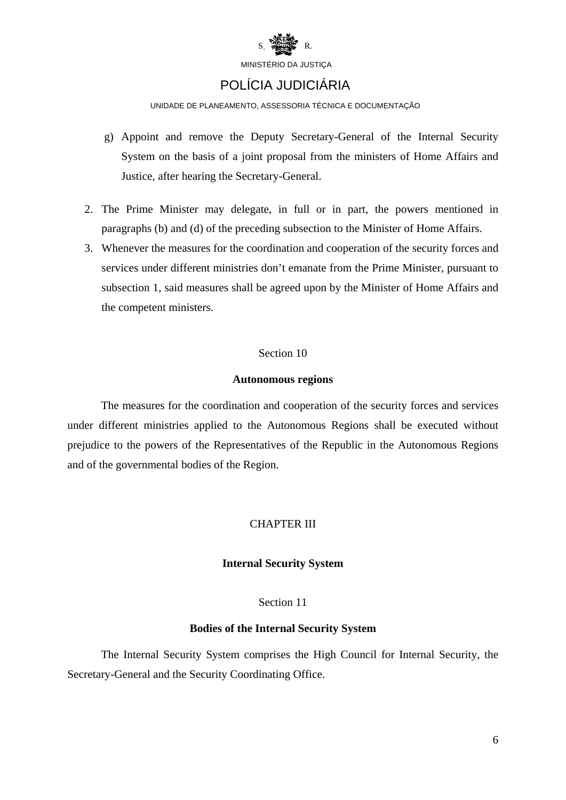

# POLÍCIA JUDICIÁRIA

#### UNIDADE DE PLANEAMENTO, ASSESSORIA TÉCNICA E DOCUMENTAÇÃO

- g) Appoint and remove the Deputy Secretary-General of the Internal Security System on the basis of a joint proposal from the ministers of Home Affairs and Justice, after hearing the Secretary-General.
- 2. The Prime Minister may delegate, in full or in part, the powers mentioned in paragraphs (b) and (d) of the preceding subsection to the Minister of Home Affairs.
- 3. Whenever the measures for the coordination and cooperation of the security forces and services under different ministries don't emanate from the Prime Minister, pursuant to subsection 1, said measures shall be agreed upon by the Minister of Home Affairs and the competent ministers.

## Section 10

### **Autonomous regions**

The measures for the coordination and cooperation of the security forces and services under different ministries applied to the Autonomous Regions shall be executed without prejudice to the powers of the Representatives of the Republic in the Autonomous Regions and of the governmental bodies of the Region.

## CHAPTER III

#### **Internal Security System**

#### Section 11

## **Bodies of the Internal Security System**

The Internal Security System comprises the High Council for Internal Security, the Secretary-General and the Security Coordinating Office.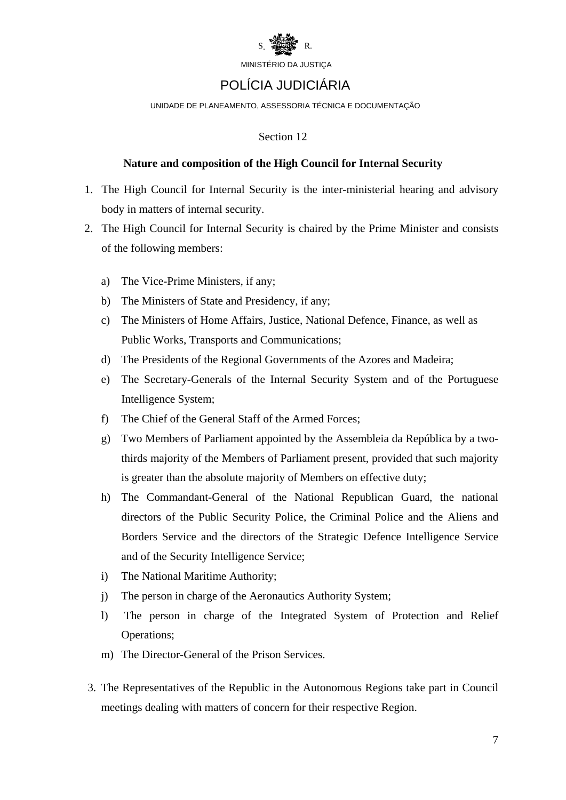

# POLÍCIA JUDICIÁRIA

## UNIDADE DE PLANEAMENTO, ASSESSORIA TÉCNICA E DOCUMENTAÇÃO

## Section 12

## **Nature and composition of the High Council for Internal Security**

- 1. The High Council for Internal Security is the inter-ministerial hearing and advisory body in matters of internal security.
- 2. The High Council for Internal Security is chaired by the Prime Minister and consists of the following members:
	- a) The Vice-Prime Ministers, if any;
	- b) The Ministers of State and Presidency, if any;
	- c) The Ministers of Home Affairs, Justice, National Defence, Finance, as well as Public Works, Transports and Communications;
	- d) The Presidents of the Regional Governments of the Azores and Madeira;
	- e) The Secretary-Generals of the Internal Security System and of the Portuguese Intelligence System;
	- f) The Chief of the General Staff of the Armed Forces;
	- g) Two Members of Parliament appointed by the Assembleia da República by a twothirds majority of the Members of Parliament present, provided that such majority is greater than the absolute majority of Members on effective duty;
	- h) The Commandant-General of the National Republican Guard, the national directors of the Public Security Police, the Criminal Police and the Aliens and Borders Service and the directors of the Strategic Defence Intelligence Service and of the Security Intelligence Service;
	- i) The National Maritime Authority;
	- j) The person in charge of the Aeronautics Authority System;
	- l) The person in charge of the Integrated System of Protection and Relief Operations;
	- m) The Director-General of the Prison Services.
- 3. The Representatives of the Republic in the Autonomous Regions take part in Council meetings dealing with matters of concern for their respective Region.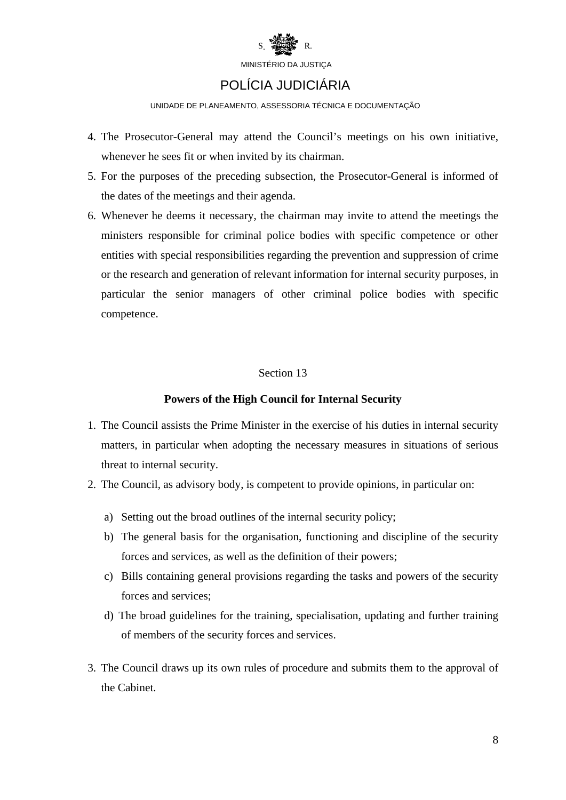

# POLÍCIA JUDICIÁRIA

#### UNIDADE DE PLANEAMENTO, ASSESSORIA TÉCNICA E DOCUMENTAÇÃO

- 4. The Prosecutor-General may attend the Council's meetings on his own initiative, whenever he sees fit or when invited by its chairman.
- 5. For the purposes of the preceding subsection, the Prosecutor-General is informed of the dates of the meetings and their agenda.
- 6. Whenever he deems it necessary, the chairman may invite to attend the meetings the ministers responsible for criminal police bodies with specific competence or other entities with special responsibilities regarding the prevention and suppression of crime or the research and generation of relevant information for internal security purposes, in particular the senior managers of other criminal police bodies with specific competence.

## Section 13

## **Powers of the High Council for Internal Security**

- 1. The Council assists the Prime Minister in the exercise of his duties in internal security matters, in particular when adopting the necessary measures in situations of serious threat to internal security.
- 2. The Council, as advisory body, is competent to provide opinions, in particular on:
	- a) Setting out the broad outlines of the internal security policy;
	- b) The general basis for the organisation, functioning and discipline of the security forces and services, as well as the definition of their powers;
	- c) Bills containing general provisions regarding the tasks and powers of the security forces and services;
	- d) The broad guidelines for the training, specialisation, updating and further training of members of the security forces and services.
- 3. The Council draws up its own rules of procedure and submits them to the approval of the Cabinet.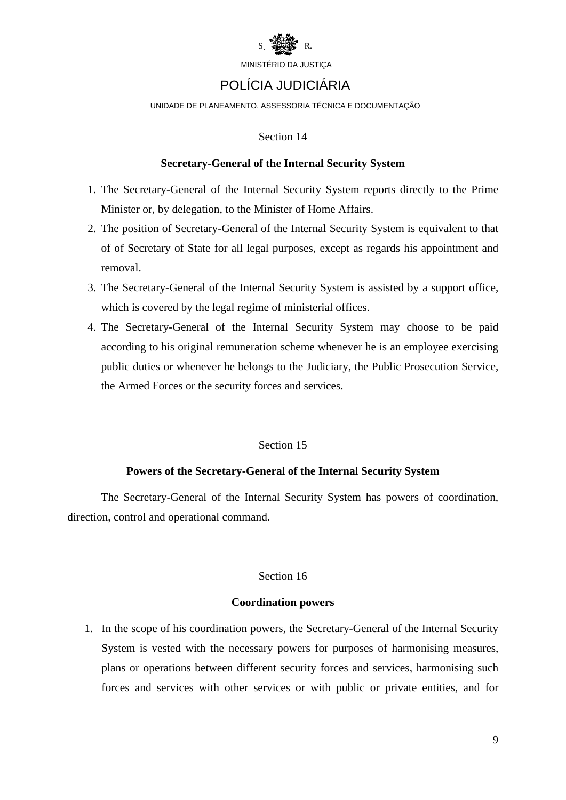

# POLÍCIA JUDICIÁRIA

#### UNIDADE DE PLANEAMENTO, ASSESSORIA TÉCNICA E DOCUMENTAÇÃO

## Section 14

## **Secretary-General of the Internal Security System**

- 1. The Secretary-General of the Internal Security System reports directly to the Prime Minister or, by delegation, to the Minister of Home Affairs.
- 2. The position of Secretary-General of the Internal Security System is equivalent to that of of Secretary of State for all legal purposes, except as regards his appointment and removal.
- 3. The Secretary-General of the Internal Security System is assisted by a support office, which is covered by the legal regime of ministerial offices.
- 4. The Secretary-General of the Internal Security System may choose to be paid according to his original remuneration scheme whenever he is an employee exercising public duties or whenever he belongs to the Judiciary, the Public Prosecution Service, the Armed Forces or the security forces and services.

## Section 15

## **Powers of the Secretary-General of the Internal Security System**

The Secretary-General of the Internal Security System has powers of coordination, direction, control and operational command.

## Section 16

## **Coordination powers**

1. In the scope of his coordination powers, the Secretary-General of the Internal Security System is vested with the necessary powers for purposes of harmonising measures, plans or operations between different security forces and services, harmonising such forces and services with other services or with public or private entities, and for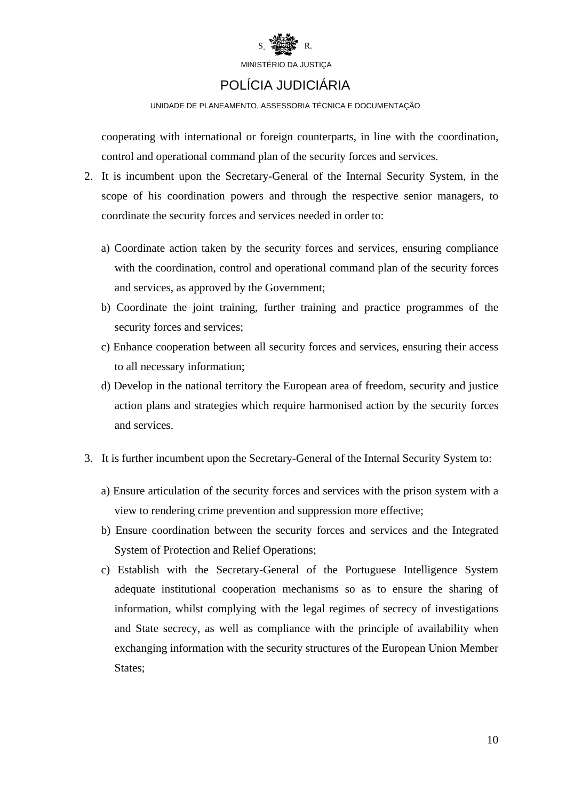

# POLÍCIA JUDICIÁRIA

#### UNIDADE DE PLANEAMENTO, ASSESSORIA TÉCNICA E DOCUMENTAÇÃO

cooperating with international or foreign counterparts, in line with the coordination, control and operational command plan of the security forces and services.

- 2. It is incumbent upon the Secretary-General of the Internal Security System, in the scope of his coordination powers and through the respective senior managers, to coordinate the security forces and services needed in order to:
	- a) Coordinate action taken by the security forces and services, ensuring compliance with the coordination, control and operational command plan of the security forces and services, as approved by the Government;
	- b) Coordinate the joint training, further training and practice programmes of the security forces and services;
	- c) Enhance cooperation between all security forces and services, ensuring their access to all necessary information;
	- d) Develop in the national territory the European area of freedom, security and justice action plans and strategies which require harmonised action by the security forces and services.
- 3. It is further incumbent upon the Secretary-General of the Internal Security System to:
	- a) Ensure articulation of the security forces and services with the prison system with a view to rendering crime prevention and suppression more effective;
	- b) Ensure coordination between the security forces and services and the Integrated System of Protection and Relief Operations;
	- c) Establish with the Secretary-General of the Portuguese Intelligence System adequate institutional cooperation mechanisms so as to ensure the sharing of information, whilst complying with the legal regimes of secrecy of investigations and State secrecy, as well as compliance with the principle of availability when exchanging information with the security structures of the European Union Member States;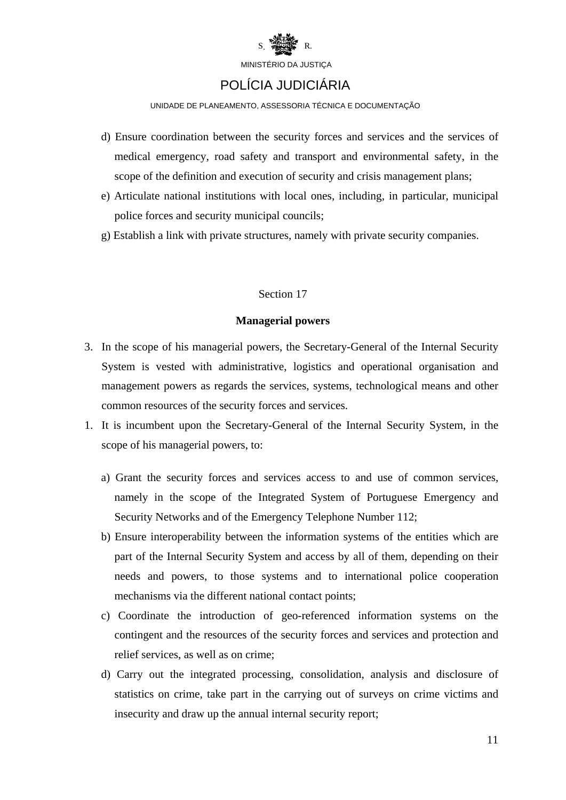

## POLÍCIA JUDICIÁRIA

#### UNIDADE DE PLANEAMENTO, ASSESSORIA TÉCNICA E DOCUMENTAÇÃO

- d) Ensure coordination between the security forces and services and the services of medical emergency, road safety and transport and environmental safety, in the scope of the definition and execution of security and crisis management plans;
- e) Articulate national institutions with local ones, including, in particular, municipal police forces and security municipal councils;
- g) Establish a link with private structures, namely with private security companies.

## Section 17

## **Managerial powers**

- 3. In the scope of his managerial powers, the Secretary-General of the Internal Security System is vested with administrative, logistics and operational organisation and management powers as regards the services, systems, technological means and other common resources of the security forces and services.
- 1. It is incumbent upon the Secretary-General of the Internal Security System, in the scope of his managerial powers, to:
	- a) Grant the security forces and services access to and use of common services, namely in the scope of the Integrated System of Portuguese Emergency and Security Networks and of the Emergency Telephone Number 112;
	- b) Ensure interoperability between the information systems of the entities which are part of the Internal Security System and access by all of them, depending on their needs and powers, to those systems and to international police cooperation mechanisms via the different national contact points;
	- c) Coordinate the introduction of geo-referenced information systems on the contingent and the resources of the security forces and services and protection and relief services, as well as on crime;
	- d) Carry out the integrated processing, consolidation, analysis and disclosure of statistics on crime, take part in the carrying out of surveys on crime victims and insecurity and draw up the annual internal security report;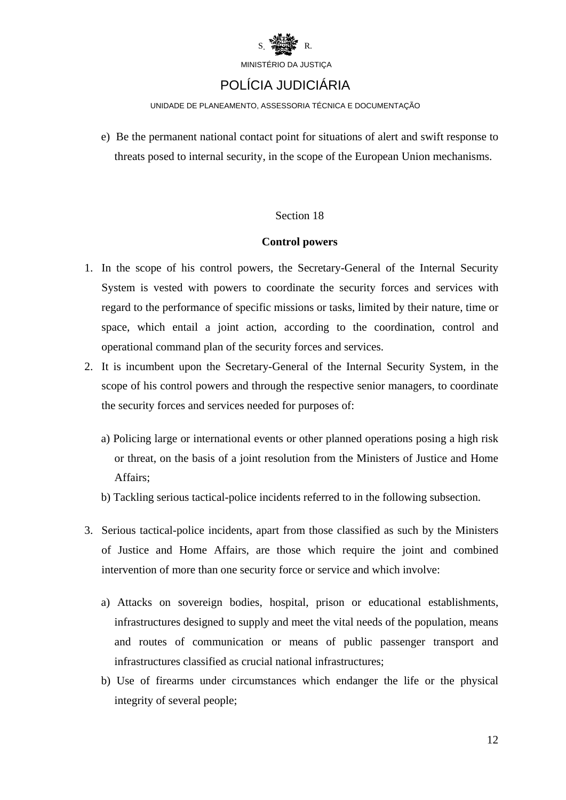

# POLÍCIA JUDICIÁRIA

#### UNIDADE DE PLANEAMENTO, ASSESSORIA TÉCNICA E DOCUMENTAÇÃO

e) Be the permanent national contact point for situations of alert and swift response to threats posed to internal security, in the scope of the European Union mechanisms.

## Section 18

## **Control powers**

- 1. In the scope of his control powers, the Secretary-General of the Internal Security System is vested with powers to coordinate the security forces and services with regard to the performance of specific missions or tasks, limited by their nature, time or space, which entail a joint action, according to the coordination, control and operational command plan of the security forces and services.
- 2. It is incumbent upon the Secretary-General of the Internal Security System, in the scope of his control powers and through the respective senior managers, to coordinate the security forces and services needed for purposes of:
	- a) Policing large or international events or other planned operations posing a high risk or threat, on the basis of a joint resolution from the Ministers of Justice and Home Affairs;
	- b) Tackling serious tactical-police incidents referred to in the following subsection.
- 3. Serious tactical-police incidents, apart from those classified as such by the Ministers of Justice and Home Affairs, are those which require the joint and combined intervention of more than one security force or service and which involve:
	- a) Attacks on sovereign bodies, hospital, prison or educational establishments, infrastructures designed to supply and meet the vital needs of the population, means and routes of communication or means of public passenger transport and infrastructures classified as crucial national infrastructures;
	- b) Use of firearms under circumstances which endanger the life or the physical integrity of several people;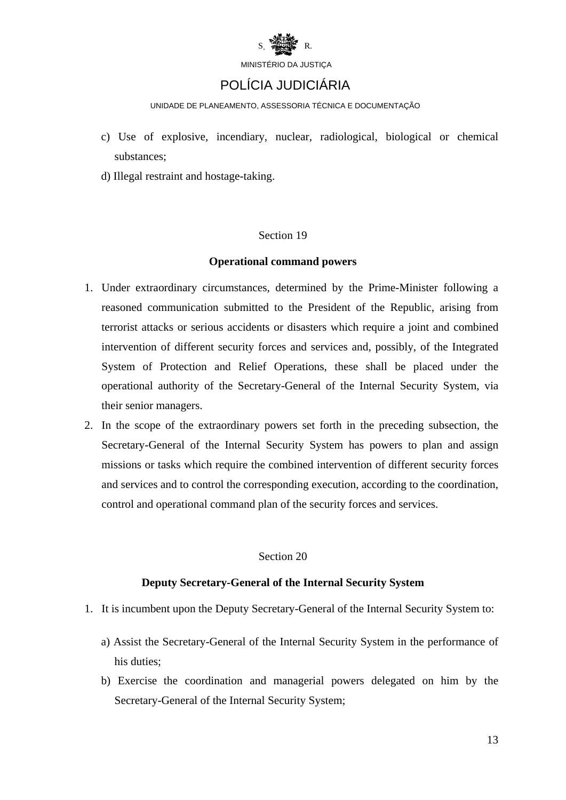

# POLÍCIA JUDICIÁRIA

UNIDADE DE PLANEAMENTO, ASSESSORIA TÉCNICA E DOCUMENTAÇÃO

- c) Use of explosive, incendiary, nuclear, radiological, biological or chemical substances;
- d) Illegal restraint and hostage-taking.

## Section 19

## **Operational command powers**

- 1. Under extraordinary circumstances, determined by the Prime-Minister following a reasoned communication submitted to the President of the Republic, arising from terrorist attacks or serious accidents or disasters which require a joint and combined intervention of different security forces and services and, possibly, of the Integrated System of Protection and Relief Operations, these shall be placed under the operational authority of the Secretary-General of the Internal Security System, via their senior managers.
- 2. In the scope of the extraordinary powers set forth in the preceding subsection, the Secretary-General of the Internal Security System has powers to plan and assign missions or tasks which require the combined intervention of different security forces and services and to control the corresponding execution, according to the coordination, control and operational command plan of the security forces and services.

## Section 20

## **Deputy Secretary-General of the Internal Security System**

- 1. It is incumbent upon the Deputy Secretary-General of the Internal Security System to:
	- a) Assist the Secretary-General of the Internal Security System in the performance of his duties;
	- b) Exercise the coordination and managerial powers delegated on him by the Secretary-General of the Internal Security System;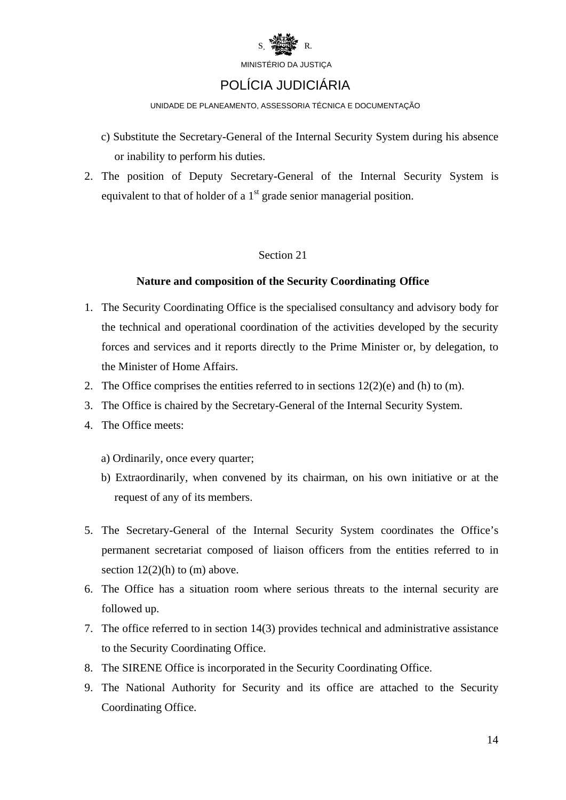

# POLÍCIA JUDICIÁRIA

#### UNIDADE DE PLANEAMENTO, ASSESSORIA TÉCNICA E DOCUMENTAÇÃO

- c) Substitute the Secretary-General of the Internal Security System during his absence or inability to perform his duties.
- 2. The position of Deputy Secretary-General of the Internal Security System is equivalent to that of holder of a  $1<sup>st</sup>$  grade senior managerial position.

## Section 21

## **Nature and composition of the Security Coordinating Office**

- 1. The Security Coordinating Office is the specialised consultancy and advisory body for the technical and operational coordination of the activities developed by the security forces and services and it reports directly to the Prime Minister or, by delegation, to the Minister of Home Affairs.
- 2. The Office comprises the entities referred to in sections  $12(2)(e)$  and (h) to (m).
- 3. The Office is chaired by the Secretary-General of the Internal Security System.
- 4. The Office meets:
	- a) Ordinarily, once every quarter;
	- b) Extraordinarily, when convened by its chairman, on his own initiative or at the request of any of its members.
- 5. The Secretary-General of the Internal Security System coordinates the Office's permanent secretariat composed of liaison officers from the entities referred to in section  $12(2)(h)$  to  $(m)$  above.
- 6. The Office has a situation room where serious threats to the internal security are followed up.
- 7. The office referred to in section 14(3) provides technical and administrative assistance to the Security Coordinating Office.
- 8. The SIRENE Office is incorporated in the Security Coordinating Office.
- 9. The National Authority for Security and its office are attached to the Security Coordinating Office.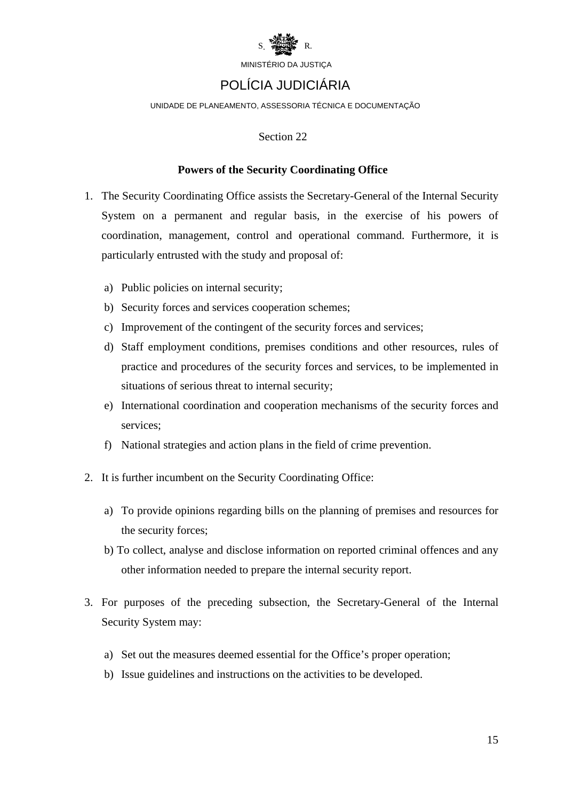

# POLÍCIA JUDICIÁRIA

### UNIDADE DE PLANEAMENTO, ASSESSORIA TÉCNICA E DOCUMENTAÇÃO

## Section 22

## **Powers of the Security Coordinating Office**

- 1. The Security Coordinating Office assists the Secretary-General of the Internal Security System on a permanent and regular basis, in the exercise of his powers of coordination, management, control and operational command. Furthermore, it is particularly entrusted with the study and proposal of:
	- a) Public policies on internal security;
	- b) Security forces and services cooperation schemes;
	- c) Improvement of the contingent of the security forces and services;
	- d) Staff employment conditions, premises conditions and other resources, rules of practice and procedures of the security forces and services, to be implemented in situations of serious threat to internal security;
	- e) International coordination and cooperation mechanisms of the security forces and services;
	- f) National strategies and action plans in the field of crime prevention.
- 2. It is further incumbent on the Security Coordinating Office:
	- a) To provide opinions regarding bills on the planning of premises and resources for the security forces;
	- b) To collect, analyse and disclose information on reported criminal offences and any other information needed to prepare the internal security report.
- 3. For purposes of the preceding subsection, the Secretary-General of the Internal Security System may:
	- a) Set out the measures deemed essential for the Office's proper operation;
	- b) Issue guidelines and instructions on the activities to be developed.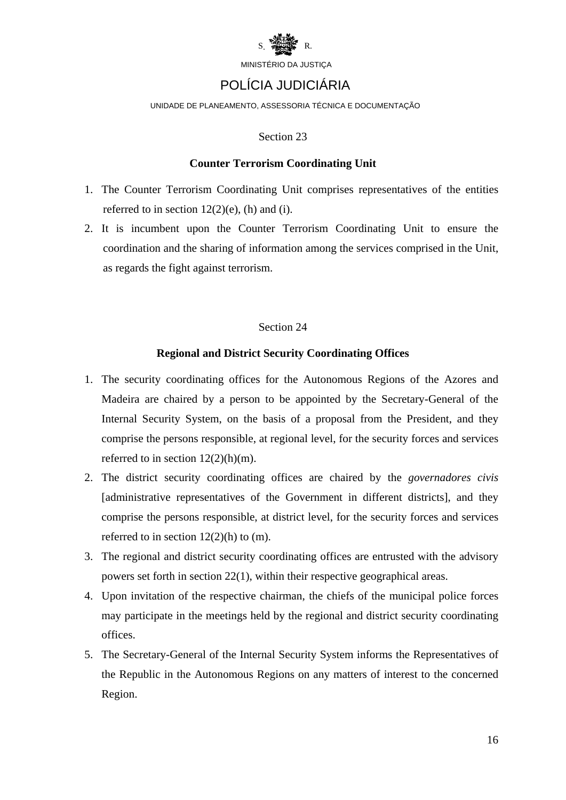

# POLÍCIA JUDICIÁRIA

#### UNIDADE DE PLANEAMENTO, ASSESSORIA TÉCNICA E DOCUMENTAÇÃO

## Section 23

## **Counter Terrorism Coordinating Unit**

- 1. The Counter Terrorism Coordinating Unit comprises representatives of the entities referred to in section  $12(2)(e)$ , (h) and (i).
- 2. It is incumbent upon the Counter Terrorism Coordinating Unit to ensure the coordination and the sharing of information among the services comprised in the Unit, as regards the fight against terrorism.

## Section 24

## **Regional and District Security Coordinating Offices**

- 1. The security coordinating offices for the Autonomous Regions of the Azores and Madeira are chaired by a person to be appointed by the Secretary-General of the Internal Security System, on the basis of a proposal from the President, and they comprise the persons responsible, at regional level, for the security forces and services referred to in section  $12(2)(h)(m)$ .
- 2. The district security coordinating offices are chaired by the *governadores civis* [administrative representatives of the Government in different districts], and they comprise the persons responsible, at district level, for the security forces and services referred to in section  $12(2)(h)$  to  $(m)$ .
- 3. The regional and district security coordinating offices are entrusted with the advisory powers set forth in section 22(1), within their respective geographical areas.
- 4. Upon invitation of the respective chairman, the chiefs of the municipal police forces may participate in the meetings held by the regional and district security coordinating offices.
- 5. The Secretary-General of the Internal Security System informs the Representatives of the Republic in the Autonomous Regions on any matters of interest to the concerned Region.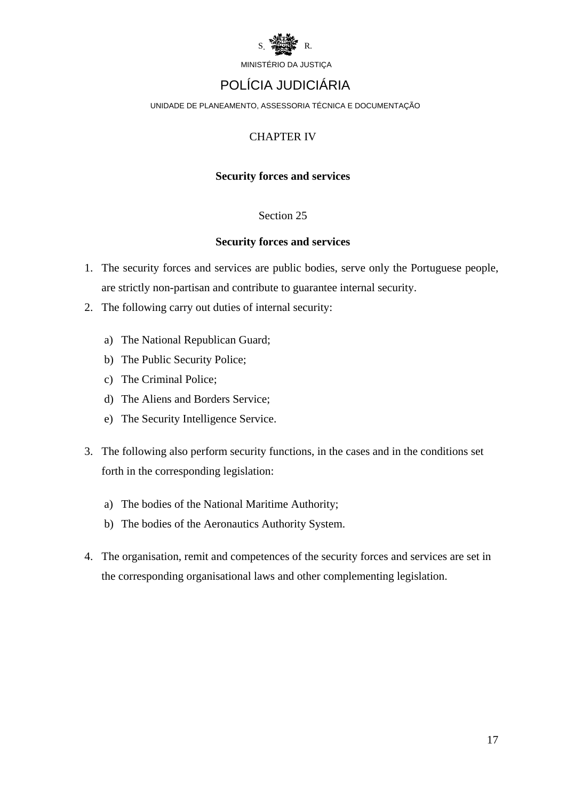

# POLÍCIA JUDICIÁRIA

#### UNIDADE DE PLANEAMENTO, ASSESSORIA TÉCNICA E DOCUMENTAÇÃO

## CHAPTER IV

## **Security forces and services**

## Section 25

## **Security forces and services**

- 1. The security forces and services are public bodies, serve only the Portuguese people, are strictly non-partisan and contribute to guarantee internal security.
- 2. The following carry out duties of internal security:
	- a) The National Republican Guard;
	- b) The Public Security Police;
	- c) The Criminal Police;
	- d) The Aliens and Borders Service;
	- e) The Security Intelligence Service.
- 3. The following also perform security functions, in the cases and in the conditions set forth in the corresponding legislation:
	- a) The bodies of the National Maritime Authority;
	- b) The bodies of the Aeronautics Authority System.
- 4. The organisation, remit and competences of the security forces and services are set in the corresponding organisational laws and other complementing legislation.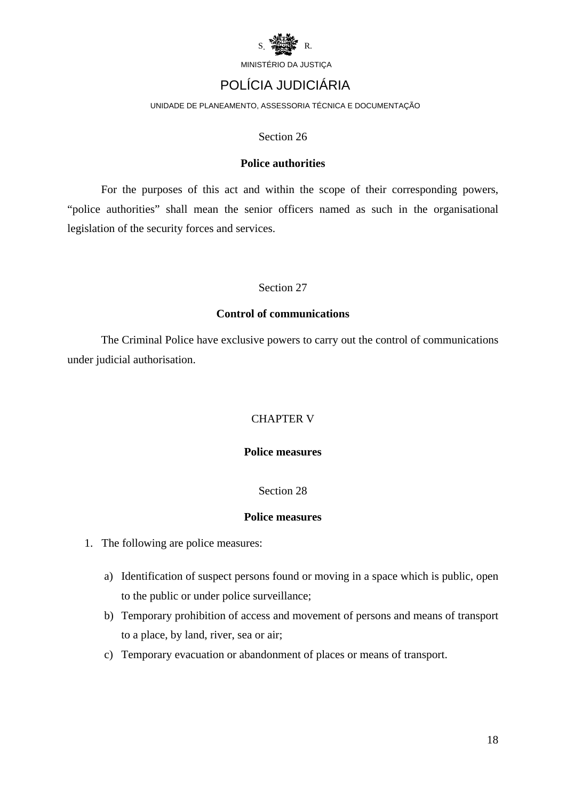

# POLÍCIA JUDICIÁRIA

#### UNIDADE DE PLANEAMENTO, ASSESSORIA TÉCNICA E DOCUMENTAÇÃO

### Section 26

### **Police authorities**

For the purposes of this act and within the scope of their corresponding powers, "police authorities" shall mean the senior officers named as such in the organisational legislation of the security forces and services.

## Section 27

### **Control of communications**

The Criminal Police have exclusive powers to carry out the control of communications under judicial authorisation.

## CHAPTER V

## **Police measures**

## Section 28

## **Police measures**

- 1. The following are police measures:
	- a) Identification of suspect persons found or moving in a space which is public, open to the public or under police surveillance;
	- b) Temporary prohibition of access and movement of persons and means of transport to a place, by land, river, sea or air;
	- c) Temporary evacuation or abandonment of places or means of transport.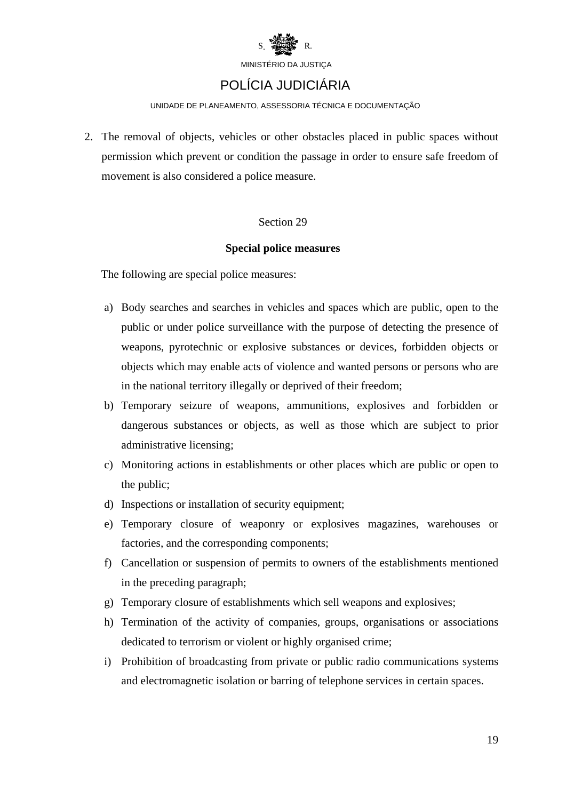

# POLÍCIA JUDICIÁRIA

UNIDADE DE PLANEAMENTO, ASSESSORIA TÉCNICA E DOCUMENTAÇÃO

2. The removal of objects, vehicles or other obstacles placed in public spaces without permission which prevent or condition the passage in order to ensure safe freedom of movement is also considered a police measure.

## Section 29

### **Special police measures**

The following are special police measures:

- a) Body searches and searches in vehicles and spaces which are public, open to the public or under police surveillance with the purpose of detecting the presence of weapons, pyrotechnic or explosive substances or devices, forbidden objects or objects which may enable acts of violence and wanted persons or persons who are in the national territory illegally or deprived of their freedom;
- b) Temporary seizure of weapons, ammunitions, explosives and forbidden or dangerous substances or objects, as well as those which are subject to prior administrative licensing;
- c) Monitoring actions in establishments or other places which are public or open to the public;
- d) Inspections or installation of security equipment;
- e) Temporary closure of weaponry or explosives magazines, warehouses or factories, and the corresponding components;
- f) Cancellation or suspension of permits to owners of the establishments mentioned in the preceding paragraph;
- g) Temporary closure of establishments which sell weapons and explosives;
- h) Termination of the activity of companies, groups, organisations or associations dedicated to terrorism or violent or highly organised crime;
- i) Prohibition of broadcasting from private or public radio communications systems and electromagnetic isolation or barring of telephone services in certain spaces.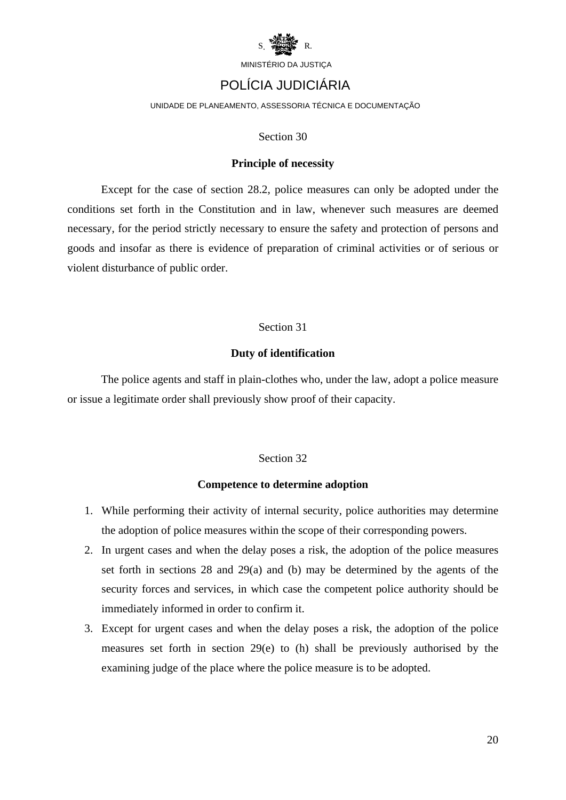

# POLÍCIA JUDICIÁRIA

#### UNIDADE DE PLANEAMENTO, ASSESSORIA TÉCNICA E DOCUMENTAÇÃO

#### Section 30

### **Principle of necessity**

Except for the case of section 28.2, police measures can only be adopted under the conditions set forth in the Constitution and in law, whenever such measures are deemed necessary, for the period strictly necessary to ensure the safety and protection of persons and goods and insofar as there is evidence of preparation of criminal activities or of serious or violent disturbance of public order.

#### Section 31

## **Duty of identification**

The police agents and staff in plain-clothes who, under the law, adopt a police measure or issue a legitimate order shall previously show proof of their capacity.

#### Section 32

## **Competence to determine adoption**

- 1. While performing their activity of internal security, police authorities may determine the adoption of police measures within the scope of their corresponding powers.
- 2. In urgent cases and when the delay poses a risk, the adoption of the police measures set forth in sections 28 and 29(a) and (b) may be determined by the agents of the security forces and services, in which case the competent police authority should be immediately informed in order to confirm it.
- 3. Except for urgent cases and when the delay poses a risk, the adoption of the police measures set forth in section 29(e) to (h) shall be previously authorised by the examining judge of the place where the police measure is to be adopted.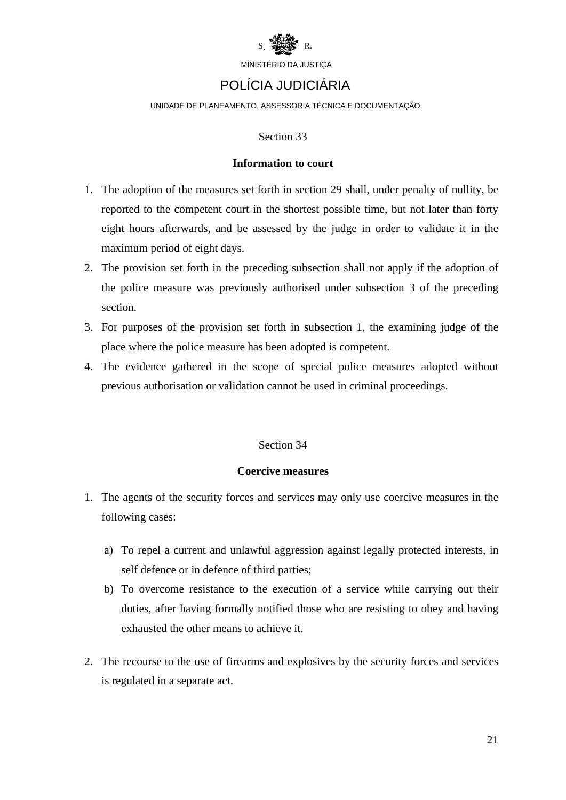

# POLÍCIA JUDICIÁRIA

### UNIDADE DE PLANEAMENTO, ASSESSORIA TÉCNICA E DOCUMENTAÇÃO

## Section 33

### **Information to court**

- 1. The adoption of the measures set forth in section 29 shall, under penalty of nullity, be reported to the competent court in the shortest possible time, but not later than forty eight hours afterwards, and be assessed by the judge in order to validate it in the maximum period of eight days.
- 2. The provision set forth in the preceding subsection shall not apply if the adoption of the police measure was previously authorised under subsection 3 of the preceding section.
- 3. For purposes of the provision set forth in subsection 1, the examining judge of the place where the police measure has been adopted is competent.
- 4. The evidence gathered in the scope of special police measures adopted without previous authorisation or validation cannot be used in criminal proceedings.

## Section 34

#### **Coercive measures**

- 1. The agents of the security forces and services may only use coercive measures in the following cases:
	- a) To repel a current and unlawful aggression against legally protected interests, in self defence or in defence of third parties;
	- b) To overcome resistance to the execution of a service while carrying out their duties, after having formally notified those who are resisting to obey and having exhausted the other means to achieve it.
- 2. The recourse to the use of firearms and explosives by the security forces and services is regulated in a separate act.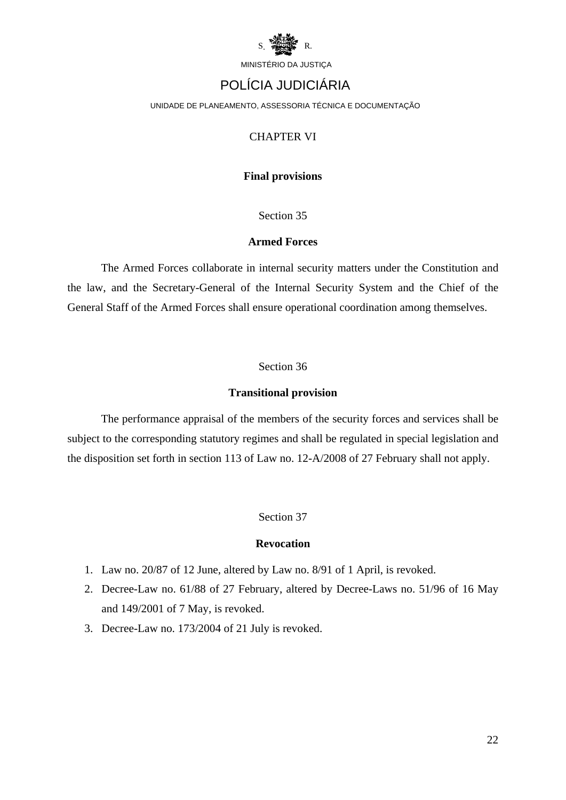

# POLÍCIA JUDICIÁRIA

UNIDADE DE PLANEAMENTO, ASSESSORIA TÉCNICA E DOCUMENTAÇÃO

## CHAPTER VI

### **Final provisions**

Section 35

### **Armed Forces**

The Armed Forces collaborate in internal security matters under the Constitution and the law, and the Secretary-General of the Internal Security System and the Chief of the General Staff of the Armed Forces shall ensure operational coordination among themselves.

## Section 36

### **Transitional provision**

The performance appraisal of the members of the security forces and services shall be subject to the corresponding statutory regimes and shall be regulated in special legislation and the disposition set forth in section 113 of Law no. 12-A/2008 of 27 February shall not apply.

#### Section 37

#### **Revocation**

- 1. Law no. 20/87 of 12 June, altered by Law no. 8/91 of 1 April, is revoked.
- 2. Decree-Law no. 61/88 of 27 February, altered by Decree-Laws no. 51/96 of 16 May and 149/2001 of 7 May, is revoked.
- 3. Decree-Law no. 173/2004 of 21 July is revoked.